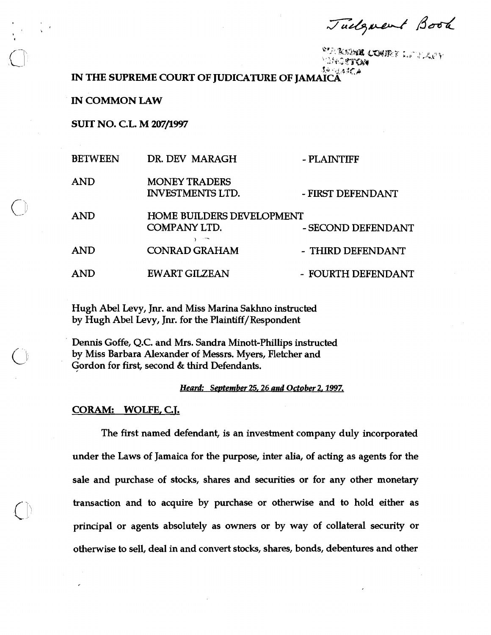Tuelgrent Book

'<sup>\&{}</sup>\`&\$\\**\I&\_CO\!!**&`F\_L\^`}`,\\,*p`\*<br>``\}\+Q@**T`C**X  $\sum$  $\Omega$ 4 -  $\eta,\phi$  and  $\mu$ 

**IN THE SUPREME COURT OF JUDICATURE OF JAMAICA** 

**IN COMMON LAW** 

**SUIT NO. C.L. M 207/1997** 

|  | <b>BETWEEN</b> | DR. DEV MARAGH                                          | - PLAINTIFF        |
|--|----------------|---------------------------------------------------------|--------------------|
|  | AND            | <b>MONEY TRADERS</b><br><b>INVESTMENTS LTD.</b>         | - FIRST DEFENDANT  |
|  | <b>AND</b>     | <b>HOME BUILDERS DEVELOPMENT</b><br><b>COMPANY LTD.</b> | - SECOND DEFENDANT |
|  | AND            | <b>CONRAD GRAHAM</b>                                    | - THIRD DEFENDANT  |
|  | AND            | <b>EWART GILZEAN</b>                                    | - FOURTH DEFENDANT |

Hugh Abel Levy, Jnr. and Miss Marina Sakhno instructed by Hugh Abel Levy, Jnr. for the Plaintiff/Respondent

Dennis Goffe, Q.C. and Mrs. Sandra Minott-Phillips instructed by Miss Barbara Alexander of Messrs. Myers, Fletcher and Gordon for first, second & third Defendants.

Heard: September 25, 26 and October 2, 1997.

## **CORAM: WOLFE, C.T.**

The first named defendant, is an investment company duly incorporated under the Laws of Jamaica for the purpose, inter alia, of acting as agents for the sale and purchase of stocks, shares and securities or for any other monetary transaction and to acquire by purchase or otherwise and to hold either as principal or agents absolutely as owners or by way of collateral security or otherwise to sell, deal in and convert stocks, shares, bonds, debentures and other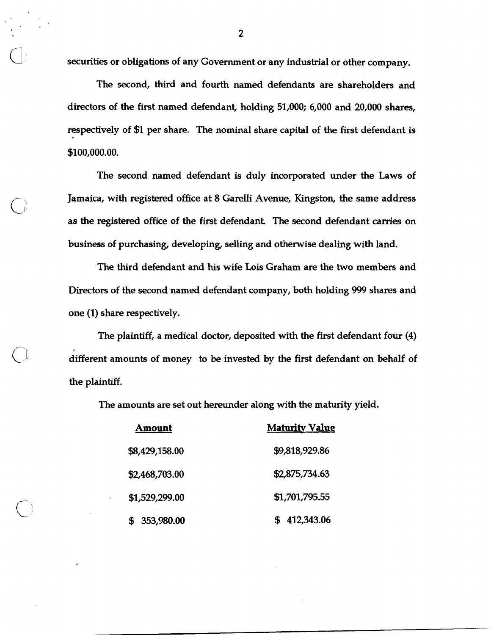securities or obligations of any Government or any industrial or other company.

The second, third and fourth named defendants are shareholders and directors of the first named defendant, holding 51,000; 6,000 and 20,000 shares, respectively of \$1 per share. The nominal share capital of the first defendant is \$100,000.00.

The second named defendant is duly incorporated under the Laws of Jamaica, with registered office at 8 Garelli Avenue, Kingston, the same address as the registered office of the first defendant. The second defendant carries on business of purchasing, developing, selling and otherwise dealing with land.

The third defendant and his wife Lois Graham are the two members and Directors of the second named defendant company, both holding 999 shares and one (1) share respectively.

The plaintiff, a medical doctor, deposited with the first defendant four (4) different amounts of money to be invested by the first defendant on behalf of the plaintiff.

The amounts are set out hereunder along with the maturity yield.

| Amount         | <b>Maturity Value</b> |
|----------------|-----------------------|
| \$8,429,158.00 | \$9,818,929.86        |
| \$2,468,703.00 | \$2,875,734.63        |
| \$1,529,299.00 | \$1,701,795.55        |
| \$ 353,980.00  | 412,343.06            |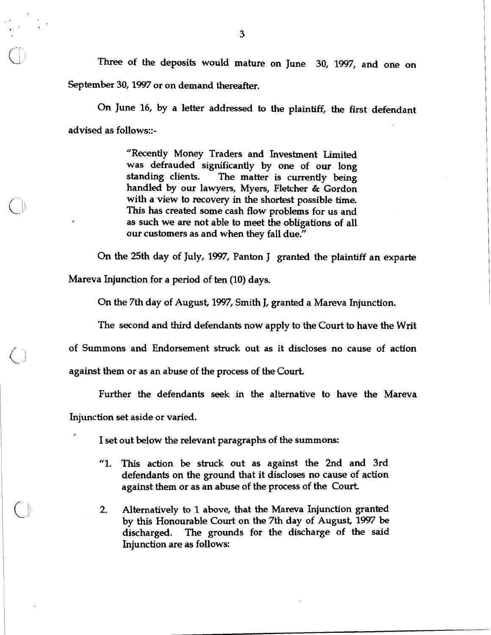**Three** of the deposits would mature on June 30, 1997, and one on September 30,1997 or on demand thereafter.

**On** June 16, by a letter addressed to the plaintiff, the first defendant advised as follows::-

> "Recently Money Traders and Investment Limited was defrauded significantly by one of our long standing clients. The matter is currently being handled by our lawyers, Myers, Fletcher & Gordon with a view to recovery in the shortest possible time. This has created some cash flow problems for us and as such we are not able to meet the obligations of all our customers as and when they fall due."

On the 25th day of July, 1997, Panton J granted the plaintiff an exparte

Mareva Injunction for a period of ten (10) days.

 $\bigcirc$ 

On the 7th day of August, 1997, Smith J, granted a Mareva Injunction.

The second and third defendants now apply to the Court to have the Writ

of Summons and Endorsement struck out as it discloses no cause of action

against them or as an abuse of the process of the Court.

Further the defendants seek in the alternative to have the Mareva Injunction set aside or varied.

I set out below the relevant paragraphs of the summons:

- "1. This action be struck out as against the 2nd and 3rd defendants on the ground that it discloses no cause of action against them or as an abuse of the process of the Court
- 2. Alternatively to 1 above, that the Mareva Injunction granted by this Honourable Court on the 7th day of August, 1997 be discharged. The grounds for the discharge of the said Injunction are as follows: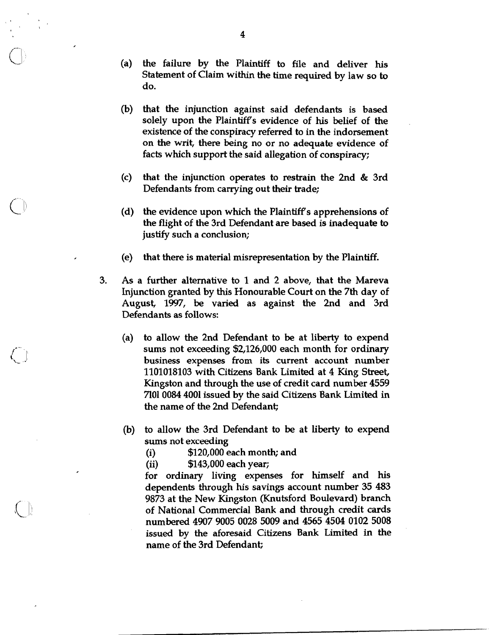- (a) the failure by the Plaintiff to file and deliver his Statement of Claim within the time required by law so to do.
- (b) that the injunction against said defendants is based solely upon the Plaintiffs evidence of his belief of the existence of the conspiracy referred to in the indorsement on the writ, there being no or no adequate evidence of facts which support the said allegation of conspiracy;
- (c) that the injunction operates to restrain the 2nd & 3rd Defendants from carrying out their trade;
- (d) the evidence upon which the Plaintiff's apprehensions of the flight of the 3rd Defendant are based is inadequate to justify such a conclusion;
- (e) that there is material misrepresentation by the Plaintiff.
- 3. As a further alternative to 1 and 2 above, that the Mareva Injunction granted by this Honourable Court on the 7th day of August, 1997, be varied as against the 2nd and 3rd Defendants as follows:
	- (a) to allow the 2nd Defendant to be at liberty to expend sums not exceeding \$2,126,000 each month for ordinary business expenses from its current account number 1101018103 with Citizens Bank Limited at 4 King Street, Kingston and through the use of credit card number 4559 7101 0084 4001 issued by the said Citizens Bank Limited in the name of the 2nd Defendant;
	- (b) to allow the 3rd Defendant to be at liberty to expend **sums** not exceeding
		- (i)  $$120,000$  each month; and<br>(ii)  $$143,000$  each year;
		- **(ii)** \$143,000 each year;
		- for ordinary living expenses for himself and his dependents through his savings account number 35 483 9873 at the New Kingston (Knutsford Boulevard) branch of National Commercial Bank and through credit cards numbered 4907 9005 0028 5009 and 4565 4504 0102 5008 issued by the aforesaid Citizens Bank Limited in the name of the 3rd Defendant;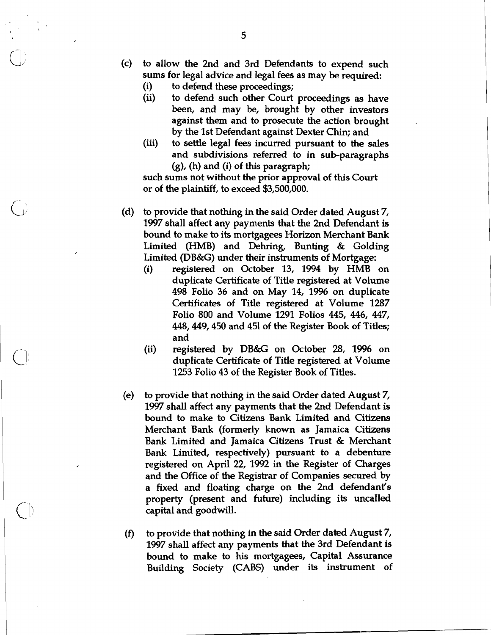- (c) to allow the 2nd and 3rd Defendants to expend such sums for legal advice and legal fees as may be required:
	- (i) to defend **these** proceedings;
	- (ii) to defend such other Court proceedings as have **been,** and may be, brought by other investors against them and to prosecute the action brought by the 1st Defendant against Dexter Chin; and
	- (iii) to settle legal fees incurred pursuant to the sales and subdivisions referred to in sub-paragraphs (g), (h) and (i) of this paragraph;

such sums not without the prior approval of this Court or of the plaintiff, to exceed \$3,500,000.

- (d) to provide that nothing in the said Order dated August 7, 1997 shall affect any payments that the 2nd Defendant is bound to make to its mortgagees Horizon Merchant Bank Limited (HMB) and Dehring, Bunting & Golding Limited (DB&G) under their instruments of Mortgage:
	- (i) registered on October 13, 1994 by HMB on duplicate Certificate of Title registered at Volume 498 Folio 36 and on May 14, 1996 on duplicate Certificates of Title registered at Volume 1287 Folio 800 and Volume 1291 Folios 445, 446, 447, 448,449,450 and 451 of the Register Book of Titles; and
	- (ii) registered by DB&G on October 28, 1996 on duplicate Certificate of Title registered at Volume 1253 Folio 43 of the Register Book of Titles.
- (e) to provide that nothing in the said Order dated August 7, 1997 shall affect any payments that the 2nd Defendant is bound to make to Citizens Bank Limited and Citizens Merchant Bank (formerly known as Jamaica Citizens Bank Limited and Jamaica Citizens Trust & Merchant Bank Limited, respectively) pursuant to a debenture registered on April 22, 1992 in the Register of Charges and the Office of the Registrar of Companies secured by a fixed and floating charge on the 2nd defendant's property (present and future) including its uncalled capital and goodwill.
- **(f)** to provide that nothing in the said Order dated August 7, 1997 shall affect any payments that the 3rd Defendant is bound to make to his mortgagees, Capital Assurance Building Society (CABS) under its instrument of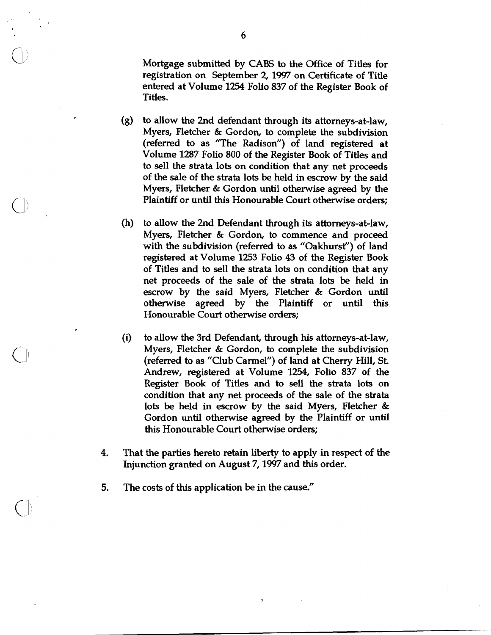Mortgage submitted by CABS to the Office of Titles for registration on September 2,1997 on Certificate of Title entered at Volume 1254 Folio 837 of the Register Book of Titles.

- (g) to allow the 2nd defendant through its attorneys-at-law, Myers, Fletcher & Gordon, to complete the subdivision (referred to as "The Radison") of land registered at Volume 1287 Folio 800 of the Register Book of Titles and to sell the strata lots on condition that any net proceeds of the sale of the strata lots be held in escrow by the said Myers, Fletcher & Gordon until otherwise agreed by the Plaintiff or until this Honourable Court otherwise orders;
- (h) to allow the 2nd Defendant through its attorneys-at-law, Myers, Fletcher & Gordon, to commence and proceed with the subdivision (referred to as "Oakhurst") of land registered at Volume 1253 Folio 43 of the Register Book of Titles and to **sell** the strata lots on condition that any net proceeds of the sale of the strata lots be held in escrow by the said Myers, Fletcher & Gordon until otherwise agreed by the Plaintiff or until this Honourable Court otherwise orders;
- (i) to allow the 3rd Defendant, through his attorneys-at-law, Myers, Fletcher & Gordon, to complete the subdivision (referred to as "Club Camel") of land at Cherry Hill, St Andrew, registered at Volume 1254, Folio 837 of the Register Book of Titles and to sell the strata lots on condition that any net proceeds of the sale of the strata lots be held in escrow by the said Myers, Fletcher & Gordon until otherwise agreed by the Plaintiff or until this Honourable Court otherwise orders;
- **4.** That the parties hereto retain liberty to apply in respect of the Injunction granted on August 7,1997 and this order.
- **5.** The costs of this application be in the cause."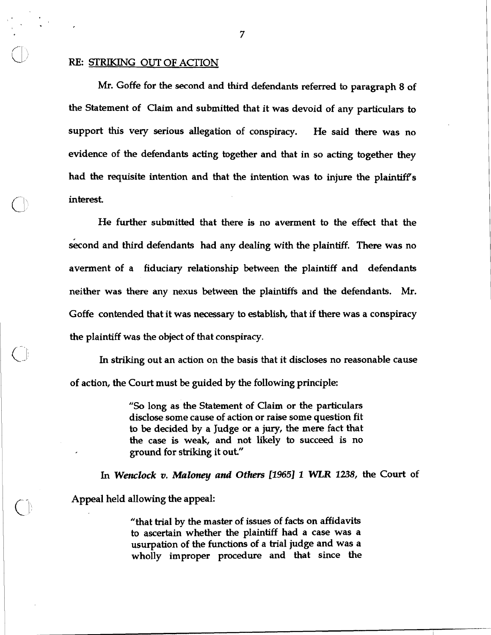## RE: STRIKING **OUT** OF **ACI'ION**

 $| 0 |$ 

Mr. Goffe for the second and third defendants referred to paragraph 8 of the Statement of Claim and submitted that it was devoid of any particulars to support this very serious allegation of conspiracy. He said there was no evidence of the defendants acting together and that in so acting together they had the requisite intention and that the intention was to injure the plaintiff's interest

He further submitted that there is no averment to the effect that the second and third defendants had any dealing with the plaintiff. There was no averment of a fiduciary relationship between the plaintiff and defendants neither was there any nexus between the plaintiffs and the defendants. Mr. Goffe contended that it was necessary to establish, that if there was a conspiracy the plaintiff was the object of that conspiracy.

In striking out an action on the basis that it discloses no reasonable cause of action, the Court must be guided by the following principle:

> "So long as the Statement of Claim or the particulars disclose some cause of action or raise some question fit to be decided by a Judge or a jury, the mere fact that the case is weak, and not likely to succeed is no ground for striking it out"

1 *In Wenclock* **v.** *Maloney and Others* **[I9651 1** WLR **1238,** the Court of Appeal held allowing the appeal:

> "that trial by the master of issues of facts on affidavits to ascertain whether the plaintiff had a case was a usurpation of the functions of a trial judge and was a wholly improper procedure and that since the

 $\overline{7}$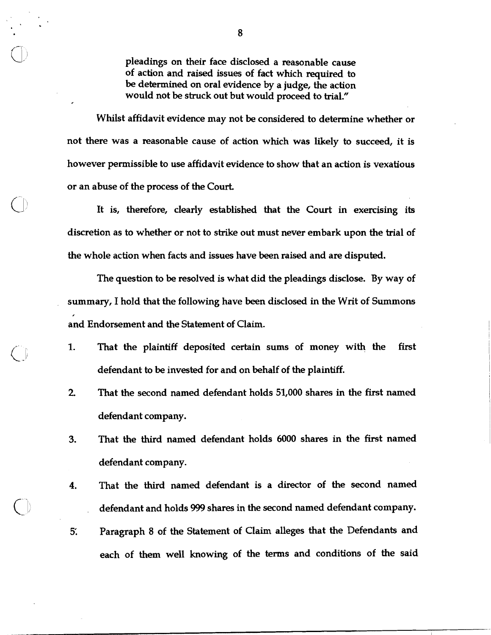pleadings on their face disclosed a reasonable cause of action and raised issues of fact which required to be determined on oral evidence by a judge, the action would not be struck out but would proceed to trial."

Whilst affidavit evidence may not be considered to determine whether or not there was a reasonable cause of action which was likely to succeed, it is however permissible to use affidavit evidence to show that an action is vexatious or an abuse of the process of the Court.

It is, therefore, clearly established that the Court in exercising its discretion as to whether or not to strike out must never embark upon the trial of the whole action when facts and issues have been raised and are disputed.

The question to be resolved is what did the pleadings disclose. By way of summary, I hold that the following have been disclosed in the Writ of Summons and Endorsement and the Statement of Claim.

**1.** That the plaintiff deposited certain sums of money with the first defendant to be invested for and on behalf of the plaintiff.

 $\bigcirc$ 

- 2. That the second named defendant holds 51,000 shares in the first named defendant company.
- **3.** That the third named defendant holds 6000 shares in the first named defendant company.
- **4.** That the third named defendant is a director of the second named . defendant and holds 999 shares in the second named defendant company.
- 5. Paragraph 8 of the Statement of Claim alleges that the Defendants and each of them well knowing of the terms and conditions of the said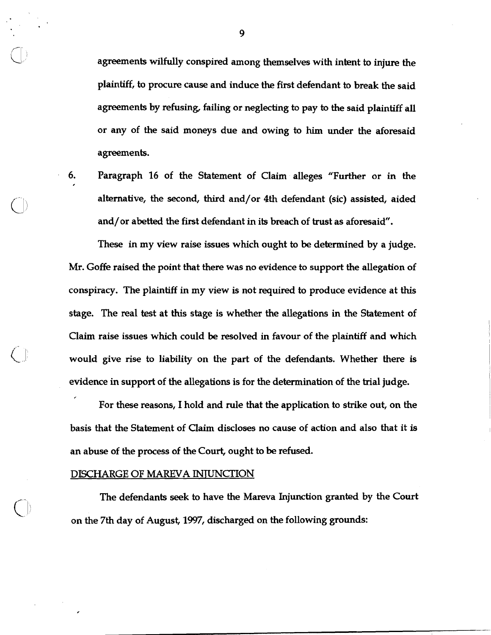agreements wilfully conspired among themselves with intent to injure the plaintiff, to procure cause and induce **the** first defendant to break the said agreements by refusing, failing or neglecting to pay to the said plaintiff all or any of the said moneys due and owing to him under the aforesaid agreements.

*6.* Paragraph 16 of the Statement of Claim alleges "Further or in the alternative, the second, third and/or 4th defendant (sic) assisted, aided and/or abetted the first defendant in its breach of trust as aforesaid".

These in my view raise issues which ought to be determined by a judge. Mr. Goffe raised the point that there was no evidence to support the allegation of conspiracy. The plaintiff in my view is not required to produce evidence at this stage. The real test at this stage is whether the allegations in the Statement of Claim raise issues which could be resolved in favour of the plaintiff and which would give rise to liability on the part of the defendants. Whether there is evidence in support of the allegations is for the determination of the trial judge.

For these reasons, I hold and rule that the application to strike out, on the basis that the Statement of Claim discloses no cause of action and also that it is an abuse of the process of the Court, ought to be refused.

## DISCHARGE OF MAREVA INTUNCTION

The defendants seek to have the Mareva Injunction granted by the Court on the 7th day of August, 1997, discharged on the following grounds: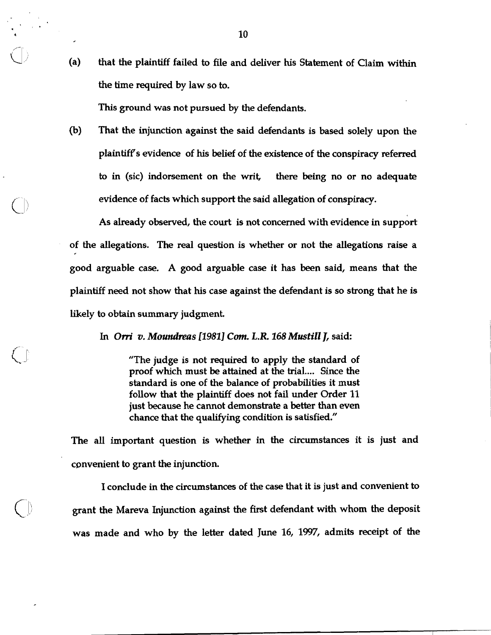a (a) that the plaintiff failed to file and deliver his Statement of Claim within  $\qquad$  (a) that the plaintiff failed to file and deliver his Statement of Claim within the time required by law so to.

This ground was not pursued by the defendants.

(b) That the injunction against the said defendants is based solely upon the plaintiff's evidence of his belief of the existence of the conspiracy referred to in (sic) indorsement on the writ, there being no or no adequate evidence of facts which support the said allegation of conspiracy.

As already observed, the court is not concerned with evidence in support of the allegations. The real question is whether or not the allegations raise a good arguable case. A good arguable case it has been said, means that the plaintiff need not show that his case against the defendant is so strong that he is likely to obtain summary judgment.

**In** *Om'* **v.** *Moundms* **[1981]** *Cum.* **L.R. 168** *Mustill J,* said:

"The judge is not required to apply the standard of proof which must be attained at the trial.... Since the standard is one of the balance of probabilities it must follow that the plaintiff does not fail under Order 11 just because he cannot demonstrate a better than even chance that the qualifying condition is satisfied."

The all important question is whether in the circumstances it is just and convenient to grant the injunction.

I conclude in the circumstances of the case that it is just and convenient to grant the Mareva Injunction against the first defendant with whom the deposit was made and who by the letter dated June 16, 1997, admits receipt of the